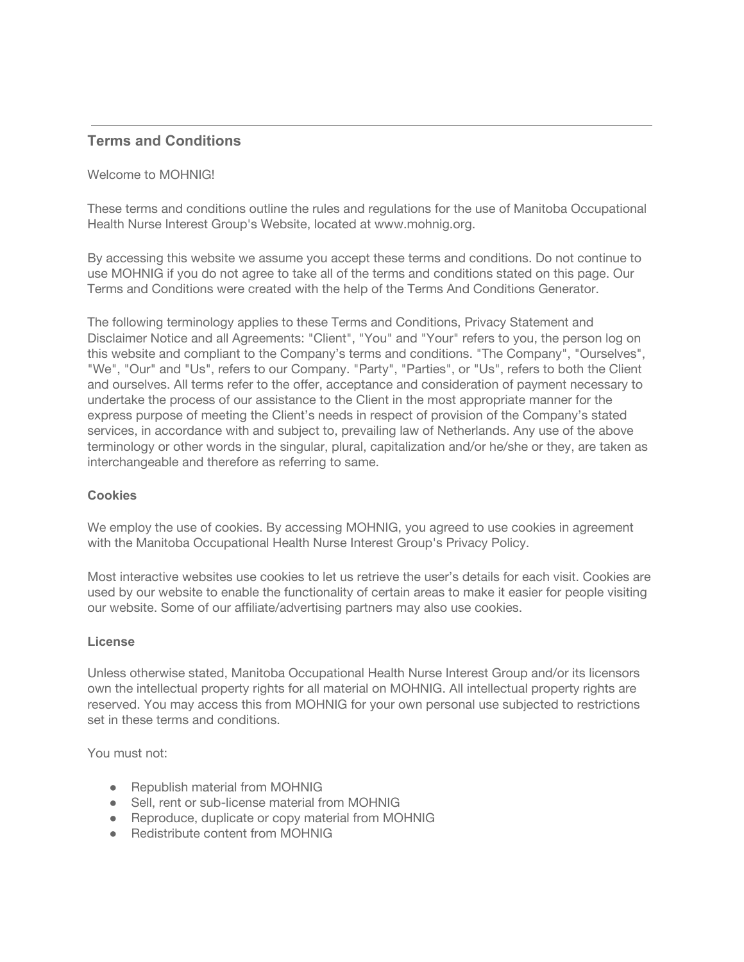# **Terms and Conditions**

## Welcome to MOHNIG!

These terms and conditions outline the rules and regulations for the use of Manitoba Occupational Health Nurse Interest Group's Website, located at www.mohnig.org.

By accessing this website we assume you accept these terms and conditions. Do not continue to use MOHNIG if you do not agree to take all of the terms and conditions stated on this page. Our Terms and Conditions were created with the help of the [Terms And Conditions Generator](https://www.termsandconditionsgenerator.com/).

The following terminology applies to these Terms and Conditions, Privacy Statement and Disclaimer Notice and all Agreements: "Client", "You" and "Your" refers to you, the person log on this website and compliant to the Company's terms and conditions. "The Company", "Ourselves", "We", "Our" and "Us", refers to our Company. "Party", "Parties", or "Us", refers to both the Client and ourselves. All terms refer to the offer, acceptance and consideration of payment necessary to undertake the process of our assistance to the Client in the most appropriate manner for the express purpose of meeting the Client's needs in respect of provision of the Company's stated services, in accordance with and subject to, prevailing law of Netherlands. Any use of the above terminology or other words in the singular, plural, capitalization and/or he/she or they, are taken as interchangeable and therefore as referring to same.

### **Cookies**

We employ the use of cookies. By accessing MOHNIG, you agreed to use cookies in agreement with the Manitoba Occupational Health Nurse Interest Group's Privacy Policy.

Most interactive websites use cookies to let us retrieve the user's details for each visit. Cookies are used by our website to enable the functionality of certain areas to make it easier for people visiting our website. Some of our affiliate/advertising partners may also use cookies.

### **License**

Unless otherwise stated, Manitoba Occupational Health Nurse Interest Group and/or its licensors own the intellectual property rights for all material on MOHNIG. All intellectual property rights are reserved. You may access this from MOHNIG for your own personal use subjected to restrictions set in these terms and conditions.

You must not:

- Republish material from MOHNIG
- Sell, rent or sub-license material from MOHNIG
- Reproduce, duplicate or copy material from MOHNIG
- Redistribute content from MOHNIG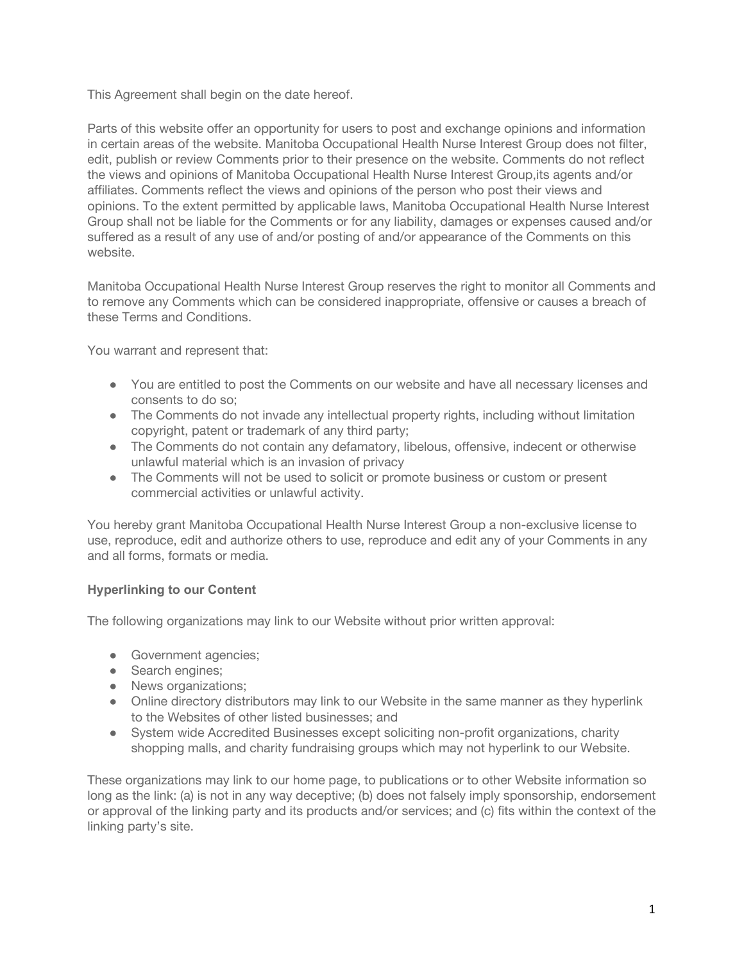This Agreement shall begin on the date hereof.

Parts of this website offer an opportunity for users to post and exchange opinions and information in certain areas of the website. Manitoba Occupational Health Nurse Interest Group does not filter, edit, publish or review Comments prior to their presence on the website. Comments do not reflect the views and opinions of Manitoba Occupational Health Nurse Interest Group,its agents and/or affiliates. Comments reflect the views and opinions of the person who post their views and opinions. To the extent permitted by applicable laws, Manitoba Occupational Health Nurse Interest Group shall not be liable for the Comments or for any liability, damages or expenses caused and/or suffered as a result of any use of and/or posting of and/or appearance of the Comments on this website.

Manitoba Occupational Health Nurse Interest Group reserves the right to monitor all Comments and to remove any Comments which can be considered inappropriate, offensive or causes a breach of these Terms and Conditions.

You warrant and represent that:

- You are entitled to post the Comments on our website and have all necessary licenses and consents to do so;
- The Comments do not invade any intellectual property rights, including without limitation copyright, patent or trademark of any third party;
- The Comments do not contain any defamatory, libelous, offensive, indecent or otherwise unlawful material which is an invasion of privacy
- The Comments will not be used to solicit or promote business or custom or present commercial activities or unlawful activity.

You hereby grant Manitoba Occupational Health Nurse Interest Group a non-exclusive license to use, reproduce, edit and authorize others to use, reproduce and edit any of your Comments in any and all forms, formats or media.

# **Hyperlinking to our Content**

The following organizations may link to our Website without prior written approval:

- Government agencies;
- Search engines;
- News organizations;
- Online directory distributors may link to our Website in the same manner as they hyperlink to the Websites of other listed businesses; and
- System wide Accredited Businesses except soliciting non-profit organizations, charity shopping malls, and charity fundraising groups which may not hyperlink to our Website.

These organizations may link to our home page, to publications or to other Website information so long as the link: (a) is not in any way deceptive; (b) does not falsely imply sponsorship, endorsement or approval of the linking party and its products and/or services; and (c) fits within the context of the linking party's site.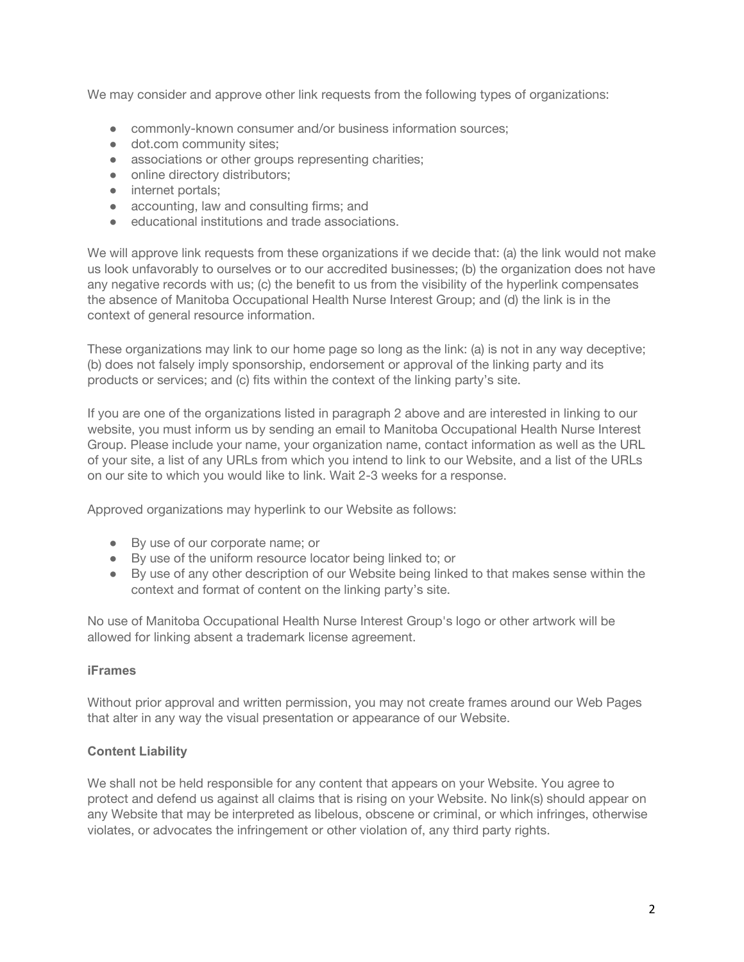We may consider and approve other link requests from the following types of organizations:

- commonly-known consumer and/or business information sources:
- dot.com community sites:
- associations or other groups representing charities;
- online directory distributors;
- internet portals;
- accounting, law and consulting firms; and
- educational institutions and trade associations.

We will approve link requests from these organizations if we decide that: (a) the link would not make us look unfavorably to ourselves or to our accredited businesses; (b) the organization does not have any negative records with us; (c) the benefit to us from the visibility of the hyperlink compensates the absence of Manitoba Occupational Health Nurse Interest Group; and (d) the link is in the context of general resource information.

These organizations may link to our home page so long as the link: (a) is not in any way deceptive; (b) does not falsely imply sponsorship, endorsement or approval of the linking party and its products or services; and (c) fits within the context of the linking party's site.

If you are one of the organizations listed in paragraph 2 above and are interested in linking to our website, you must inform us by sending an email to Manitoba Occupational Health Nurse Interest Group. Please include your name, your organization name, contact information as well as the URL of your site, a list of any URLs from which you intend to link to our Website, and a list of the URLs on our site to which you would like to link. Wait 2-3 weeks for a response.

Approved organizations may hyperlink to our Website as follows:

- By use of our corporate name; or
- By use of the uniform resource locator being linked to; or
- By use of any other description of our Website being linked to that makes sense within the context and format of content on the linking party's site.

No use of Manitoba Occupational Health Nurse Interest Group's logo or other artwork will be allowed for linking absent a trademark license agreement.

### **iFrames**

Without prior approval and written permission, you may not create frames around our Web Pages that alter in any way the visual presentation or appearance of our Website.

# **Content Liability**

We shall not be held responsible for any content that appears on your Website. You agree to protect and defend us against all claims that is rising on your Website. No link(s) should appear on any Website that may be interpreted as libelous, obscene or criminal, or which infringes, otherwise violates, or advocates the infringement or other violation of, any third party rights.